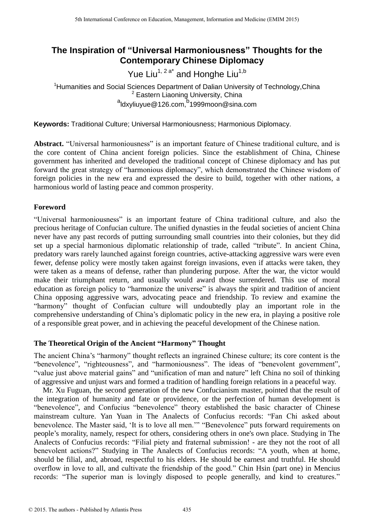# **The Inspiration of "Universal Harmoniousness" Thoughts for the Contemporary Chinese Diplomacy**

Yue Liu<sup>1, 2 a\*</sup> and Honghe Liu<sup>1,b</sup>

<sup>1</sup>Humanities and Social Sciences Department of Dalian University of Technology, China <sup>2</sup> Eastern Liaoning University, China <sup>a</sup>ldxyliuyue@126.com, <sup>b</sup>1999moon@sina.com

**Keywords:** Traditional Culture; Universal Harmoniousness; Harmonious Diplomacy.

**Abstract.** "Universal harmoniousness" is an important feature of Chinese traditional culture, and is the core content of China ancient foreign policies. Since the establishment of China, Chinese government has inherited and developed the traditional concept of Chinese diplomacy and has put forward the great strategy of "harmonious diplomacy", which demonstrated the Chinese wisdom of foreign policies in the new era and expressed the desire to build, together with other nations, a harmonious world of lasting peace and common prosperity.

## **Foreword**

"Universal harmoniousness" is an important feature of China traditional culture, and also the precious heritage of Confucian culture. The unified dynasties in the feudal societies of ancient China never have any past records of putting surrounding small countries into their colonies, but they did set up a special harmonious diplomatic relationship of trade, called "tribute". In ancient China, predatory wars rarely launched against foreign countries, active-attacking aggressive wars were even fewer, defense policy were mostly taken against foreign invasions, even if attacks were taken, they were taken as a means of defense, rather than plundering purpose. After the war, the victor would make their triumphant return, and usually would award those surrendered. This use of moral education as foreign policy to "harmonize the universe" is always the spirit and tradition of ancient China opposing aggressive wars, advocating peace and friendship. To review and examine the "harmony" thought of Confucian culture will undoubtedly play an important role in the comprehensive understanding of China"s diplomatic policy in the new era, in playing a positive role of a responsible great power, and in achieving the peaceful development of the Chinese nation.

## **The Theoretical Origin of the Ancient "Harmony" Thought**

The ancient China's "harmony" thought reflects an ingrained Chinese culture; its core content is the "benevolence", "righteousness", and "harmoniousness". The ideas of "benevolent government", "value just above material gains" and "unification of man and nature" left China no soil of thinking of aggressive and unjust wars and formed a tradition of handling foreign relations in a peaceful way.

Mr. Xu Fuguan, the second generation of the new Confucianism master, pointed that the result of the integration of humanity and fate or providence, or the perfection of human development is "benevolence", and Confucius "benevolence" theory established the basic character of Chinese mainstream culture. Yan Yuan in The Analects of Confucius records: "Fan Chi asked about benevolence. The Master said, "It is to love all men."" "Benevolence" puts forward requirements on people"s morality, namely, respect for others, considering others in one's own place. Studying in The Analects of Confucius records: "Filial piety and fraternal submission! - are they not the root of all benevolent actions?" Studying in The Analects of Confucius records: "A youth, when at home, should be filial, and, abroad, respectful to his elders. He should be earnest and truthful. He should overflow in love to all, and cultivate the friendship of the good." Chin Hsin (part one) in Mencius records: "The superior man is lovingly disposed to people generally, and kind to creatures."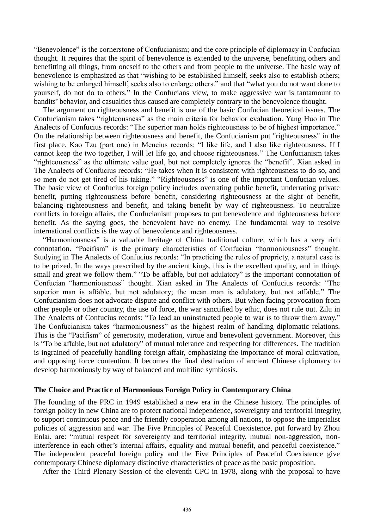"Benevolence" is the cornerstone of Confucianism; and the core principle of diplomacy in Confucian thought. It requires that the spirit of benevolence is extended to the universe, benefitting others and benefitting all things, from oneself to the others and from people to the universe. The basic way of benevolence is emphasized as that "wishing to be established himself, seeks also to establish others; wishing to be enlarged himself, seeks also to enlarge others." and that "what you do not want done to yourself, do not do to others." In the Confucians view, to make aggressive war is tantamount to bandits" behavior, and casualties thus caused are completely contrary to the benevolence thought.

The argument on righteousness and benefit is one of the basic Confucian theoretical issues. The Confucianism takes "righteousness" as the main criteria for behavior evaluation. Yang Huo in The Analects of Confucius records: "The superior man holds righteousness to be of highest importance." On the relationship between righteousness and benefit, the Confucianism put "righteousness" in the first place. Kao Tzu (part one) in Mencius records: "I like life, and I also like righteousness. If I cannot keep the two together, I will let life go, and choose righteousness." The Confucianism takes "righteousness" as the ultimate value goal, but not completely ignores the "benefit". Xian asked in The Analects of Confucius records: "He takes when it is consistent with righteousness to do so, and so men do not get tired of his taking." "Righteousness" is one of the important Confucian values. The basic view of Confucius foreign policy includes overrating public benefit, underrating private benefit, putting righteousness before benefit, considering righteousness at the sight of benefit, balancing righteousness and benefit, and taking benefit by way of righteousness. To neutralize conflicts in foreign affairs, the Confucianism proposes to put benevolence and righteousness before benefit. As the saying goes, the benevolent have no enemy. The fundamental way to resolve international conflicts is the way of benevolence and righteousness.

"Harmoniousness" is a valuable heritage of China traditional culture, which has a very rich connotation. "Pacifism" is the primary characteristics of Confucian "harmoniousness" thought. Studying in The Analects of Confucius records: "In practicing the rules of propriety, a natural ease is to be prized. In the ways prescribed by the ancient kings, this is the excellent quality, and in things small and great we follow them." "To be affable, but not adulatory" is the important connotation of Confucian "harmoniousness" thought. Xian asked in The Analects of Confucius records: "The superior man is affable, but not adulatory; the mean man is adulatory, but not affable." The Confucianism does not advocate dispute and conflict with others. But when facing provocation from other people or other country, the use of force, the war sanctified by ethic, does not rule out. Zilu in The Analects of Confucius records: "To lead an uninstructed people to war is to throw them away." The Confucianism takes "harmoniousness" as the highest realm of handling diplomatic relations. This is the "Pacifism" of generosity, moderation, virtue and benevolent government. Moreover, this is "To be affable, but not adulatory" of mutual tolerance and respecting for differences. The tradition is ingrained of peacefully handling foreign affair, emphasizing the importance of moral cultivation, and opposing force contention. It becomes the final destination of ancient Chinese diplomacy to develop harmoniously by way of balanced and multiline symbiosis.

### **The Choice and Practice of Harmonious Foreign Policy in Contemporary China**

The founding of the PRC in 1949 established a new era in the Chinese history. The principles of foreign policy in new China are to protect national independence, sovereignty and territorial integrity, to support continuous peace and the friendly cooperation among all nations, to oppose the imperialist policies of aggression and war. The Five Principles of Peaceful Coexistence, put forward by Zhou Enlai, are: "mutual respect for sovereignty and territorial integrity, mutual non-aggression, noninterference in each other's internal affairs, equality and mutual benefit, and peaceful coexistence." The independent peaceful foreign policy and the Five Principles of Peaceful Coexistence give contemporary Chinese diplomacy distinctive characteristics of peace as the basic proposition.

After the Third Plenary Session of the eleventh CPC in 1978, along with the proposal to have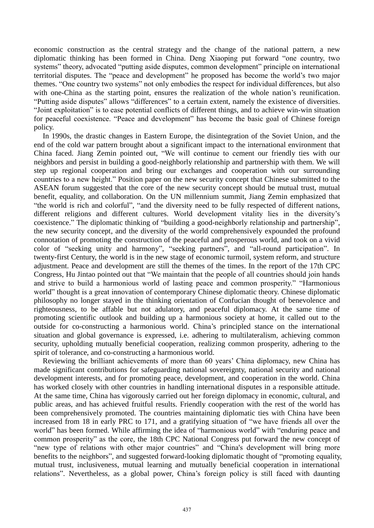economic construction as the central strategy and the change of the national pattern, a new diplomatic thinking has been formed in China. Deng Xiaoping put forward "one country, two systems" theory, advocated "putting aside disputes, common development" principle on international territorial disputes. The "peace and development" he proposed has become the world"s two major themes. "One country two systems" not only embodies the respect for individual differences, but also with one-China as the starting point, ensures the realization of the whole nation's reunification. "Putting aside disputes" allows "differences" to a certain extent, namely the existence of diversities. "Joint exploitation" is to ease potential conflicts of different things, and to achieve win-win situation for peaceful coexistence. "Peace and development" has become the basic goal of Chinese foreign policy.

In 1990s, the drastic changes in Eastern Europe, the disintegration of the Soviet Union, and the end of the cold war pattern brought about a significant impact to the international environment that China faced. Jiang Zemin pointed out, "We will continue to cement our friendly ties with our neighbors and persist in building a good-neighborly relationship and partnership with them. We will step up regional cooperation and bring our exchanges and cooperation with our surrounding countries to a new height." Position paper on the new security concept that Chinese submitted to the ASEAN forum suggested that the core of the new security concept should be mutual trust, mutual benefit, equality, and collaboration. On the UN millennium summit, Jiang Zemin emphasized that "the world is rich and colorful", "and the diversity need to be fully respected of different nations, different religions and different cultures. World development vitality lies in the diversity's coexistence." The diplomatic thinking of "building a good-neighborly relationship and partnership", the new security concept, and the diversity of the world comprehensively expounded the profound connotation of promoting the construction of the peaceful and prosperous world, and took on a vivid color of "seeking unity and harmony", "seeking partners", and "all-round participation". In twenty-first Century, the world is in the new stage of economic turmoil, system reform, and structure adjustment. Peace and development are still the themes of the times. In the report of the 17th CPC Congress, Hu Jintao pointed out that "We maintain that the people of all countries should join hands and strive to build a harmonious world of lasting peace and common prosperity." "Harmonious world" thought is a great innovation of contemporary Chinese diplomatic theory. Chinese diplomatic philosophy no longer stayed in the thinking orientation of Confucian thought of benevolence and righteousness, to be affable but not adulatory, and peaceful diplomacy. At the same time of promoting scientific outlook and building up a harmonious society at home, it called out to the outside for co-constructing a harmonious world. China"s principled stance on the international situation and global governance is expressed, i.e. adhering to multilateralism, achieving common security, upholding mutually beneficial cooperation, realizing common prosperity, adhering to the spirit of tolerance, and co-constructing a harmonious world.

Reviewing the brilliant achievements of more than 60 years" China diplomacy, new China has made significant contributions for safeguarding national sovereignty, national security and national development interests, and for promoting peace, development, and cooperation in the world. China has worked closely with other countries in handling international disputes in a responsible attitude. At the same time, China has vigorously carried out her foreign diplomacy in economic, cultural, and public areas, and has achieved fruitful results. Friendly cooperation with the rest of the world has been comprehensively promoted. The countries maintaining diplomatic ties with China have been increased from 18 in early PRC to 171, and a gratifying situation of "we have friends all over the world" has been formed. While affirming the idea of "harmonious world" with "enduring peace and common prosperity" as the core, the 18th CPC National Congress put forward the new concept of "new type of relations with other major countries" and "China's development will bring more benefits to the neighbors", and suggested forward-looking diplomatic thought of "promoting equality, mutual trust, inclusiveness, mutual learning and mutually beneficial cooperation in international relations". Nevertheless, as a global power, China"s foreign policy is still faced with daunting